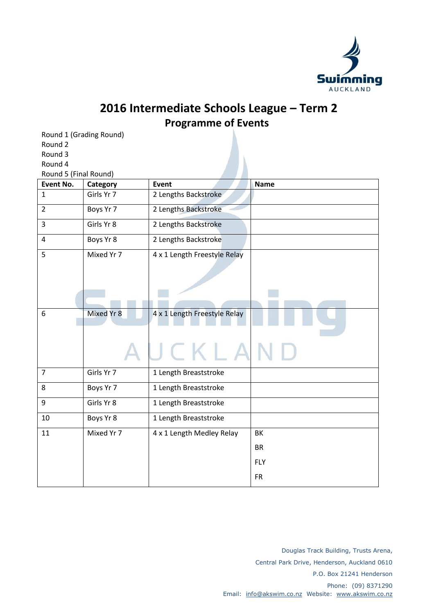

## **2016 Intermediate Schools League – Term 2 Programme of Events**

| Round 1 (Grading Round) |            |                              |             |  |
|-------------------------|------------|------------------------------|-------------|--|
| Round 2                 |            |                              |             |  |
| Round 3                 |            |                              |             |  |
| Round 4                 |            |                              |             |  |
| Round 5 (Final Round)   |            |                              |             |  |
| Event No.               | Category   | <b>Event</b>                 | <b>Name</b> |  |
| $\mathbf{1}$            | Girls Yr 7 | 2 Lengths Backstroke         |             |  |
| $\overline{2}$          | Boys Yr 7  | 2 Lengths Backstroke         |             |  |
| 3                       | Girls Yr 8 | 2 Lengths Backstroke         |             |  |
| 4                       | Boys Yr 8  | 2 Lengths Backstroke         |             |  |
| 5                       | Mixed Yr 7 | 4 x 1 Length Freestyle Relay |             |  |
|                         |            |                              |             |  |
|                         |            |                              |             |  |
|                         |            |                              |             |  |
| 6                       | Mixed Yr 8 | 4 x 1 Length Freestyle Relay |             |  |
|                         |            |                              |             |  |
|                         |            | CKL                          |             |  |
| $\overline{7}$          | Girls Yr 7 | 1 Length Breaststroke        |             |  |
| 8                       | Boys Yr 7  | 1 Length Breaststroke        |             |  |
| 9                       | Girls Yr 8 | 1 Length Breaststroke        |             |  |
| 10                      | Boys Yr 8  | 1 Length Breaststroke        |             |  |
| 11                      | Mixed Yr 7 | 4 x 1 Length Medley Relay    | BK          |  |
|                         |            |                              | <b>BR</b>   |  |
|                         |            |                              |             |  |
|                         |            |                              | <b>FLY</b>  |  |

Douglas Track Building, Trusts Arena, Central Park Drive, Henderson, Auckland 0610 P.O. Box 21241 Henderson Phone: (09) 8371290 Email: [info@akswim.co.nz](mailto:info@akswim.co.nz) Website: [www.akswim.co.nz](http://www.akswim.co.nz/)